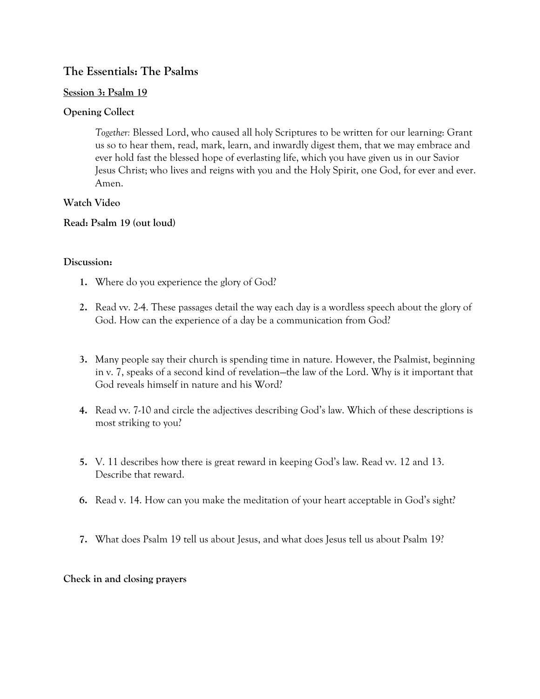# **The Essentials: The Psalms**

#### **Session 3: Psalm 19**

## **Opening Collect**

*Together:* Blessed Lord, who caused all holy Scriptures to be written for our learning: Grant us so to hear them, read, mark, learn, and inwardly digest them, that we may embrace and ever hold fast the blessed hope of everlasting life, which you have given us in our Savior Jesus Christ; who lives and reigns with you and the Holy Spirit, one God, for ever and ever. Amen.

## **Watch Video**

## **Read: Psalm 19 (out loud)**

## **Discussion:**

- **1.** Where do you experience the glory of God?
- **2.** Read vv. 2-4. These passages detail the way each day is a wordless speech about the glory of God. How can the experience of a day be a communication from God?
- **3.** Many people say their church is spending time in nature. However, the Psalmist, beginning in v. 7, speaks of a second kind of revelation—the law of the Lord. Why is it important that God reveals himself in nature and his Word?
- **4.** Read vv. 7-10 and circle the adjectives describing God's law. Which of these descriptions is most striking to you?
- **5.** V. 11 describes how there is great reward in keeping God's law. Read vv. 12 and 13. Describe that reward.
- **6.** Read v. 14. How can you make the meditation of your heart acceptable in God's sight?
- **7.** What does Psalm 19 tell us about Jesus, and what does Jesus tell us about Psalm 19?

## **Check in and closing prayers**